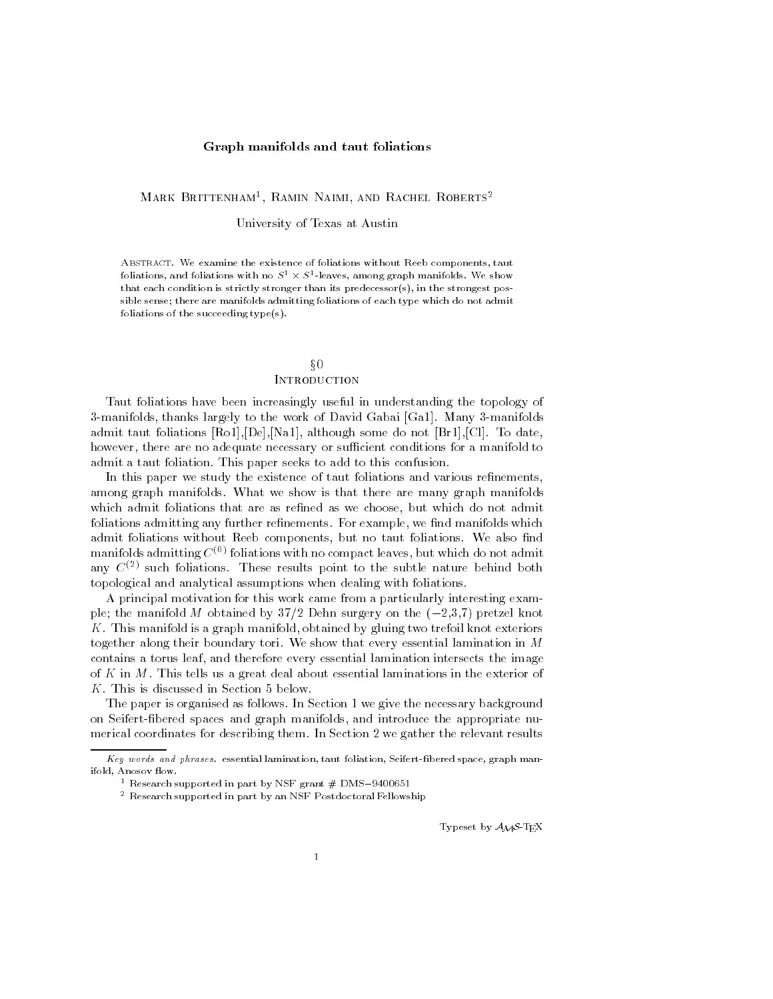## Graph manifolds and taut foliations

Mark Brittenham1 , Ramin Naimi, and Rachel Roberts2

University of Texas at Austin

ABSTRACT. We examine the existence of foliations without Reeb components, taut foliations, and foliations with no  $S^1 \times S^1$ -leaves, among graph manifolds. We show that each condition is strictly stronger than its predecessor(s), in the strongest possible sense; there are manifolds admitting foliations of each type which do not admit foliations of the succeeding type(s).

# x0**INTRODUCTION**

Taut foliations have been increasingly useful in understanding the topology of 3-manifolds, thanks largely to the work of David Gabai [Ga1]. Many 3-manifolds admit taut foliations [Ro1],[De],[Na1], although some do not [Br1],[Cl]. To date, however, there are no adequate necessary or sufficient conditions for a manifold to admit a taut foliation. This paper seeks to add to this confusion.

In this paper we study the existence of taut foliations and various refinements, among graph manifolds. What we show is that there are many graph manifolds which admit foliations that are as refined as we choose, but which do not admit foliations admitting any further refinements. For example, we find manifolds which admit foliations without Reeb components, but no taut foliations. We also find manifolds admitting  $C^{(0)}$  foliations with no compact leaves, but which do not admit any  $C^{(2)}$  such foliations. These results point to the subtle nature behind both topological and analytical assumptions when dealing with foliations.

A principal motivation for this work came from a particularly interesting example; the manifold M obtained by  $37/2$  Dehn surgery on the  $(-2,3,7)$  pretzel knot K. This manifold is a graph manifold, obtained by gluing two trefoil knot exteriors together along their boundary tori. We show that every essential lamination in M contains a torus leaf, and therefore every essential lamination intersects the image of  $K$  in  $M$ . This tells us a great deal about essential laminations in the exterior of K. This is discussed in Section 5 below.

The paper is organised as follows. In Section 1 we give the necessary background on Seifert-bered spaces and graph manifolds, and introduce the appropriate nu merical coordinates for describing them. In Section 2 we gather the relevant results

Typeset by  $A_{\mathcal{M}}S$ -T<sub>E</sub>X

 $Key words and phrases.$  essential lamination, taut foliation, Seifert-fibered space, graph manifold, Anosov flow.

<sup>1</sup> Research supported in part by NSF grant # DMS9400651

<sup>2</sup> Research supported in part by an NSF Postdoctoral Fellowship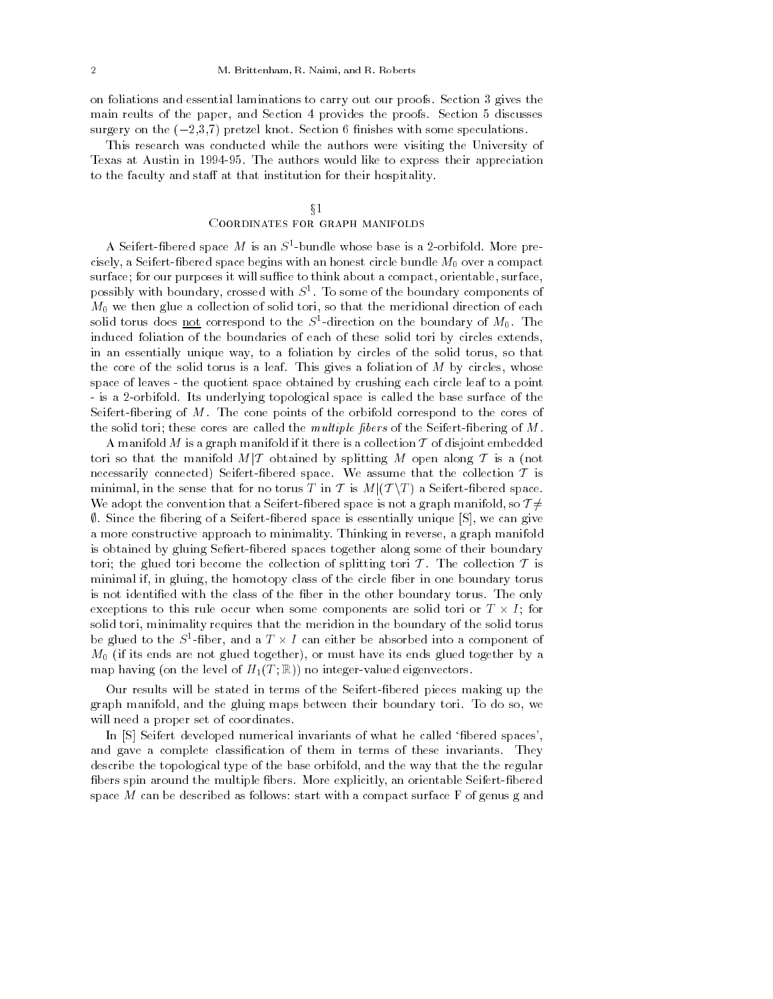on foliations and essential laminations to carry out our proofs. Section 3 gives the main reults of the paper, and Section 4 provides the proofs. Section 5 discusses surgery on the  $(-2,3,7)$  pretzel knot. Section 6 finishes with some speculations.

This research was conducted while the authors were visiting the University of Texas at Austin in 1994-95. The authors would like to express their appreciation to the faculty and staff at that institution for their hospitality.

# $\S1$

## Coordinates for graph manifolds

A senert-noered space  $M$  is an  $S$  -bundle whose base is a z-orbifold. More precisely, a Seifert-fibered space begins with an honest circle bundle  $M_0$  over a compact surface; for our purposes it will suffice to think about a compact, orientable, surface, possibly with boundary, crossed with  $S^1$ . To some of the boundary components of  $M_0$  we then glue a collection of solid tori, so that the meridional direction of each sond torus does <u>not</u> correspond to the  $S$ -direction on the boundary of  $M_0$ . The induced foliation of the boundaries of each of these solid tori by circles extends, in an essentially unique way, to a foliation by circles of the solid torus, so that the core of the solid torus is a leaf. This gives a foliation of  $M$  by circles, whose space of leaves - the quotient space obtained by crushing each circle leaf to a point - is a 2-orbifold. Its underlying topological space is called the base surface of the Seifert-bering of M. The cone points of the orbifold correspond to the cores of the solid tori; these cores are called the multiple fibers of the Seifert-fibering of  $M$ .

A manifold M is a graph manifold if it there is a collection  $T$  of disjoint embedded tori so that the manifold  $M/T$  obtained by splitting M open along T is a (not necessarily connected) Seifert-fibered space. We assume that the collection  ${\cal T}$  is tori so that the manifold  $M|\mathcal{T}$  obtained by splitting  $M$  open along  $\mathcal{T}$  is a (not necessarily connected) Seifert-fibered space. We assume that the collection  $\mathcal{T}$  is minimal, in the sense that for no torus  $T$  necessarily connected) Seifert-fibered space. We assume that the collection  $T$  is minimal, in the sense that for no torus  $T$  in  $T$  is  $M|(T\setminus T)$  a Seifert-fibered space.<br>We adopt the convention that a Seifert-fibered s  $\emptyset$ . Since the fibering of a Seifert-fibered space is essentially unique  $[S]$ , we can give a more constructive approach to minimality. Thinking in reverse, a graph manifold is obtained by gluing Sefiert-fibered spaces together along some of their boundary tori; the glued tori become the collection of splitting tori  $\mathcal T$ . The collection  $\mathcal T$  is minimal if, in gluing, the homotopy class of the circle fiber in one boundary torus is not identified with the class of the fiber in the other boundary torus. The only exceptions to this rule occur when some components are solid tori or  $T \times I$ ; for solid tori, minimality requires that the meridion in the boundary of the solid torus be glued to the  $S^1$ -fiber, and a  $T \times I$  can either be absorbed into a component of  $M_0$  (if its ends are not glued together), or must have its ends glued together by a map having (on the level of  $H_1(T;\mathbb{R})$ ) no integer-valued eigenvectors.

Our results will be stated in terms of the Seifert-bered pieces making up the graph manifold, and the gluing maps between their boundary tori. To do so, we will need a proper set of coordinates.

In [S] Seifert developed numerical invariants of what he called 'fibered spaces', and gave a complete classification of them in terms of these invariants. They describe the topological type of the base orbifold, and the way that the the regular fibers spin around the multiple fibers. More explicitly, an orientable Seifert-fibered space  $M$  can be described as follows: start with a compact surface  $F$  of genus g and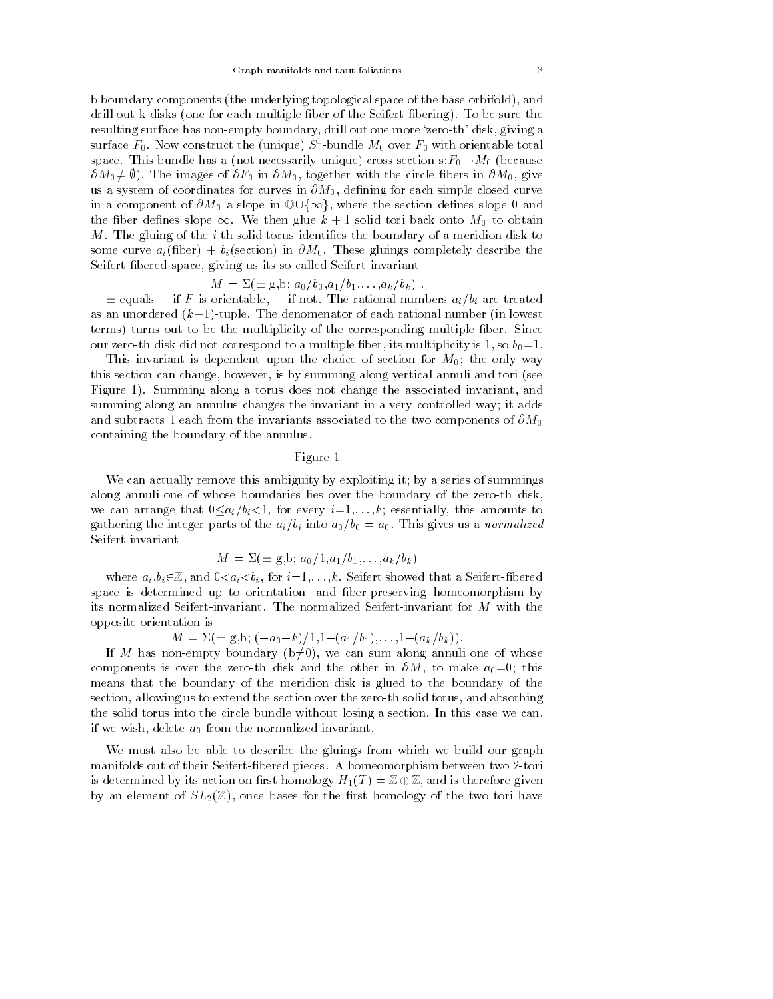b boundary components (the underlying topological space of the base orbifold), and drill out k disks (one for each multiple fiber of the Seifert-fibering). To be sure the resulting surface has non-empty boundary, drill out one more `zero-th' disk, giving a surface  $r_0$ . Now construct the (unique)  $S$ -bundle  $m_0$  over  $r_0$  with orientable total space. This bundle has a (not necessarily unique) cross-section  $s:F_0 \to M_0$  (because  $\partial M_0 \neq \emptyset$ ). The images of  $\partial F_0$  in  $\partial M_0$ , together with the circle fibers in  $\partial M_0$ , give us a system of coordinates for curves in  $\partial M_0$ , defining for each simple closed curve in a component of  $\partial M_0$  a slope in  $\mathbb{Q}\cup\{\infty\}$ , where the section defines slope 0 and the fiber defines slope  $\infty$ . We then glue  $k + 1$  solid tori back onto  $M_0$  to obtain M. The gluing of the *i*-th solid torus identifies the boundary of a meridion disk to some curve  $a_i$ (fiber) +  $b_i$ (section) in  $\partial M_0$ . These gluings completely describe the Seifert-bered space, giving us its so-called Seifert invariant

$$
M = \Sigma(\pm g, b; a_0/b_0, a_1/b_1, \ldots, a_k/b_k) .
$$

 $\pm$  equals  $+$  if F is orientable,  $-$  if not. The rational numbers  $a_i/b_i$  are treated as an unordered  $(k+1)$ -tuple. The denomenator of each rational number (in lowest terms) turns out to be the multiplicity of the corresponding multiple ber. Since our zero-th disk did not correspond to a multiple fiber, its multiplicity is 1, so  $b_0=1$ .

This invariant is dependent upon the choice of section for  $M_0$ ; the only way this section can change, however, is by summing along vertical annuli and tori (see Figure 1). Summing along a torus does not change the associated invariant, and summing along an annulus changes the invariant in a very controlled way; it adds and subtracts 1 each from the invariants associated to the two components of  $\partial M_0$ containing the boundary of the annulus.

# Figure 1

We can actually remove this ambiguity by exploiting it; by a series of summings along annuli one of whose boundaries lies over the boundary of the zero-th disk, we can arrange that  $0 \leq a_i/b_i < 1$ , for every  $i = 1, \ldots, k$ ; essentially, this amounts to gathering the integer parts of the  $a_i/b_i$  into  $a_0/b_0 = a_0$ . This gives us a normalized Seifert invariant

$$
M = \Sigma (\pm g, b; a_0/1, a_1/b_1, \ldots, a_k/b_k)
$$

where  $a_i, b_i \in \mathbb{Z}$ , and  $0 \lt a_i \lt b_i$ , for  $i = 1, \ldots, k$ . Seifert showed that a Seifert-fibered space is determined up to orientation- and ber-preserving homeomorphism by its normalized Seifert-invariant. The normalized Seifert-invariant for M with the opposite orientation is

 $M = \Sigma(\pm g,b; (-a_0-k)/1,1-(a_1/b_1),\ldots,1-(a_k/b_k)).$ 

If M has non-empty boundary ( $b\neq0$ ), we can sum along annuli one of whose components is over the zero-th disk and the other in  $\partial M$ , to make  $a_0=0$ ; this means that the boundary of the meridion disk is glued to the boundary of the section, allowing us to extend the section over the zero-th solid torus, and absorbing the solid torus into the circle bundle without losing a section. In this case we can, if we wish, delete  $a_0$  from the normalized invariant.

We must also be able to describe the gluings from which we build our graph manifolds out of their Seifert-bered pieces. A homeomorphism between two 2-tori is determined by its action on first homology  $H_1(T) = \mathbb{Z} \oplus \mathbb{Z}$ , and is therefore given by an element of  $SL_2(\mathbb{Z})$ , once bases for the first homology of the two tori have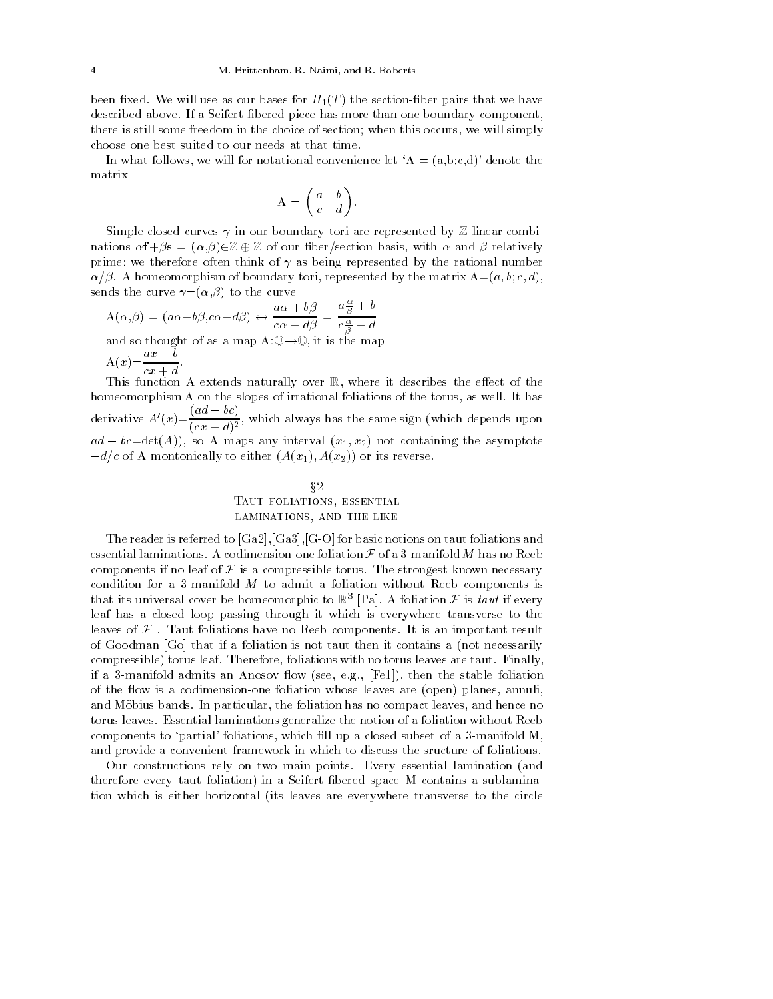been fixed. We will use as our bases for  $H_1(T)$  the section-fiber pairs that we have described above. If a Seifert-bered piece has more than one boundary component, there is still some freedom in the choice of section; when this occurs, we will simply choose one best suited to our needs at that time.

In what follows, we will for notational convenience let 'A =  $(a,b,c,d)$ ' denote the matrix

$$
A = \begin{pmatrix} a & b \\ c & d \end{pmatrix}.
$$

Simple closed curves  $\gamma$  in our boundary tori are represented by Z-linear combinations  $\alpha f + \beta s = (\alpha, \beta) \in \mathbb{Z} \oplus \mathbb{Z}$  of our fiber/section basis, with  $\alpha$  and  $\beta$  relatively prime; we therefore often think of  $\gamma$  as being represented by the rational number  $\alpha/\beta$ . A homeomorphism of boundary tori, represented by the matrix  $A=(a, b, c, d)$ , sends the curve  $\gamma = (\alpha, \beta)$  to the curve  $\alpha \rightarrow -i$ 

$$
A(\alpha, \beta) = (a\alpha + b\beta, c\alpha + d\beta) \leftrightarrow \frac{a\alpha + b\beta}{c\alpha + d\beta} = \frac{a\frac{\alpha}{\beta} + b}{c\frac{\alpha}{\beta} + d}
$$
  
and so thought of as a map  $A:\mathbb{Q}\to\mathbb{Q}$ , it is the map  

$$
A(x) = \frac{ax+b}{cx+d}.
$$

cx + d This function A extends naturally over R, where it describes the eect of the homeomorphism A on the slopes of irrational foliations of the torus, as well. It has derivative  $A'(x) = \frac{(ad - bc)}{(cx + d)^2}$ , which always has the same sign (which depends upon  $ad - bc = det(A)$ , so A maps any interval  $(x_1, x_2)$  not containing the asymptote  $-d/c$  of A montonically to either  $(A(x_1), A(x_2))$  or its reverse.

# $§2$ TAUT FOLIATIONS, ESSENTIAL laminations, and the like

The reader is referred to [Ga2],[Ga3],[G-O] for basic notions on taut foliations and essential laminations. A codimension-one foliation  $\mathcal F$  of a 3-manifold  $M$  has no Reeb components if no leaf of  $\mathcal F$  is a compressible torus. The strongest known necessary condition for a 3-manifold  $M$  to admit a foliation without Reeb components is that its universal cover be homeomorphic to  $\mathbb{R}^3$  [Pa]. A foliation F is taut if every leaf has a closed loop passing through it which is everywhere transverse to the leaves of  $\mathcal F$ . Taut foliations have no Reeb components. It is an important result of Goodman [Go] that if a foliation is not taut then it contains a (not necessarily compressible) torus leaf. Therefore, foliations with no torus leaves are taut. Finally, if a 3-manifold admits an Anosov flow (see, e.g., [Fe1]), then the stable foliation of the flow is a codimension-one foliation whose leaves are (open) planes, annuli, and Möbius bands. In particular, the foliation has no compact leaves, and hence no torus leaves. Essential laminations generalize the notion of a foliation without Reeb components to 'partial' foliations, which fill up a closed subset of a 3-manifold  $M$ , and provide a convenient framework in which to discuss the sructure of foliations.

Our constructions rely on two main points. Every essential lamination (and therefore every taut foliation) in a Seifert-bered space M contains a sublamination which is either horizontal (its leaves are everywhere transverse to the circle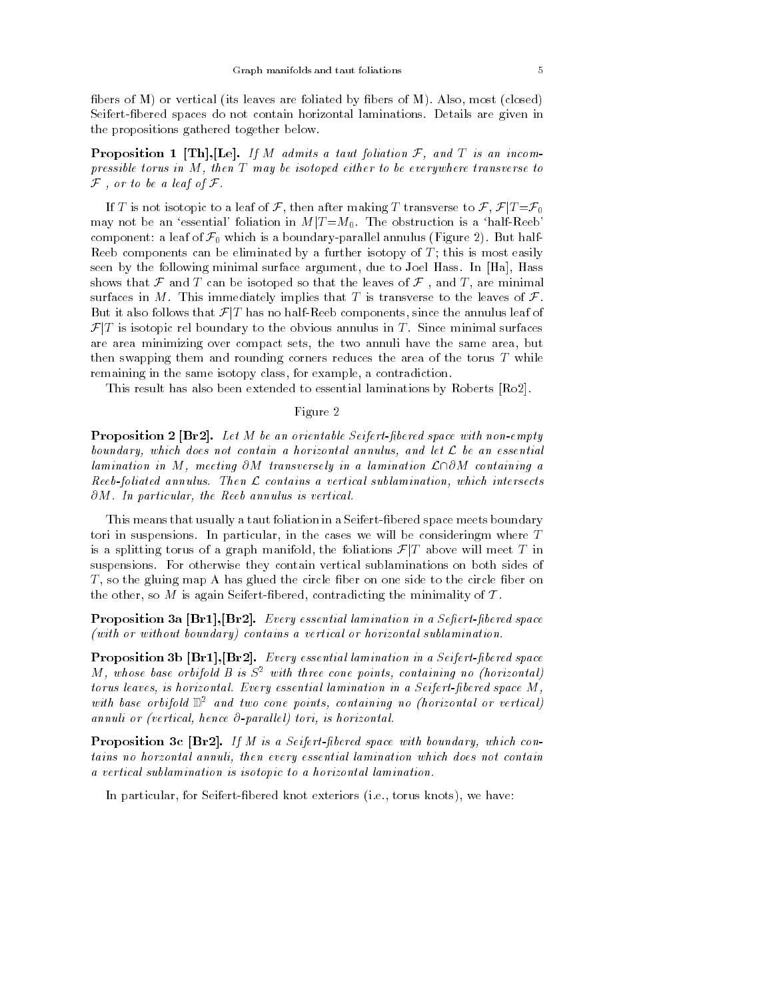fibers of  $M$ ) or vertical (its leaves are foliated by fibers of  $M$ ). Also, most (closed) Seifert-bered spaces do not contain horizontal laminations. Details are given in the propositions gathered together below.

**Proposition 1** [Th], [Le]. If M admits a taut foliation  $F$ , and  $T$  is an incompressible torus in M, then T may be isotoped either to be everywhere transverse to  ${\cal F}$  , or to be a leaf of  ${\cal F}$ .

If T is not isotopic to a leaf of F, then after making T transverse to F,  $\mathcal{F}|T = \mathcal{F}_0$ may not be an 'essential' foliation in  $M/T = M_0$ . The obstruction is a 'half-Reeb' component: a leaf of  $\mathcal{F}_0$  which is a boundary-parallel annulus (Figure 2). But half-Reeb components can be eliminated by a further isotopy of  $T$ ; this is most easily seen by the following minimal surface argument, due to Joel Hass. In [Ha], Hass shows that  $\mathcal F$  and  $T$  can be isotoped so that the leaves of  $\mathcal F$ , and  $T$ , are minimal surfaces in M. This immediately implies that T is transverse to the leaves of  $\mathcal{F}$ . shows that  $\mathcal F$  and  $T$  can be isotoped so that the leaves of  $\mathcal F$ , and  $T$ , are minimal surfaces in  $M$ . This immediately implies that  $T$  is transverse to the leaves of  $\mathcal F$ .<br>But it also follows that  $\mathcal F/T$  has n But it also follows that  $\mathcal{F}[T]$  has no half-Reeb components, since the annulus leaf of  $\mathcal{F}[T]$  is isotopic rel boundary to the obvious annulus in T. Since minimal surfaces are area minimizing over compact sets, the two annuli have the same area, but then swapping them and rounding corners reduces the area of the torus T while remaining in the same isotopy class, for example, a contradiction.

This result has also been extended to essential laminations by Roberts [Ro2].

#### Figure 2

**Proposition 2 [Br2].** Let M be an orientable Seifert-fibered space with non-empty boundary, which does not contain a horizontal annulus, and let <sup>L</sup> be an essential lamination in M, meeting  $\partial M$  transversely in a lamination  $\mathcal{L}\cap \partial M$  containing a Reeb-foliated annulus. Then  $\mathcal L$  contains a vertical sublamination, which intersects  $\partial M$ . In particular, the Reeb annulus is vertical.

This means that usually a taut foliation in a Seifert-fibered space meets boundary tori in suspensions. In particular, in the cases we will be consideringm where T This means that usually a taut foliation in a Seifert-fibered space meets boundary<br>tori in suspensions. In particular, in the cases we will be consideringm where T<br>is a splitting torus of a graph manifold, the foliations suspensions. For otherwise they contain vertical sublaminations on both sides of  $T$ , so the gluing map A has glued the circle fiber on one side to the circle fiber on the other, so  $M$  is again Seifert-fibered, contradicting the minimality of  $T$ .

**Proposition 3a [Br1], [Br2].** Every essential lamination in a Sefiert-fibered space (with or without boundary) contains a vertical or horizontal sublamination.

Proposition 3b [Br1], [Br2]. Every essential lamination in a Seifert-fibered space M, whose base orbifold B is  $S^2$  with three cone points, containing no (horizontal) torus leaves, is horizontal. Every essential lamination in a Seifert-fibered space M, with base orbifold  $\mathbb{D}^2$  and two cone points, containing no (horizontal or vertical) annuli or (vertical, hence  $\partial$ -parallel) tori, is horizontal.

**Proposition 3c** [Br2]. If M is a Seifert-fibered space with boundary, which contains no horzontal annuli, then every essential lamination which does not contain a vertical sublamination is isotopic to a horizontal lamination.

In particular, for Seifert-bered knot exteriors (i.e., torus knots), we have: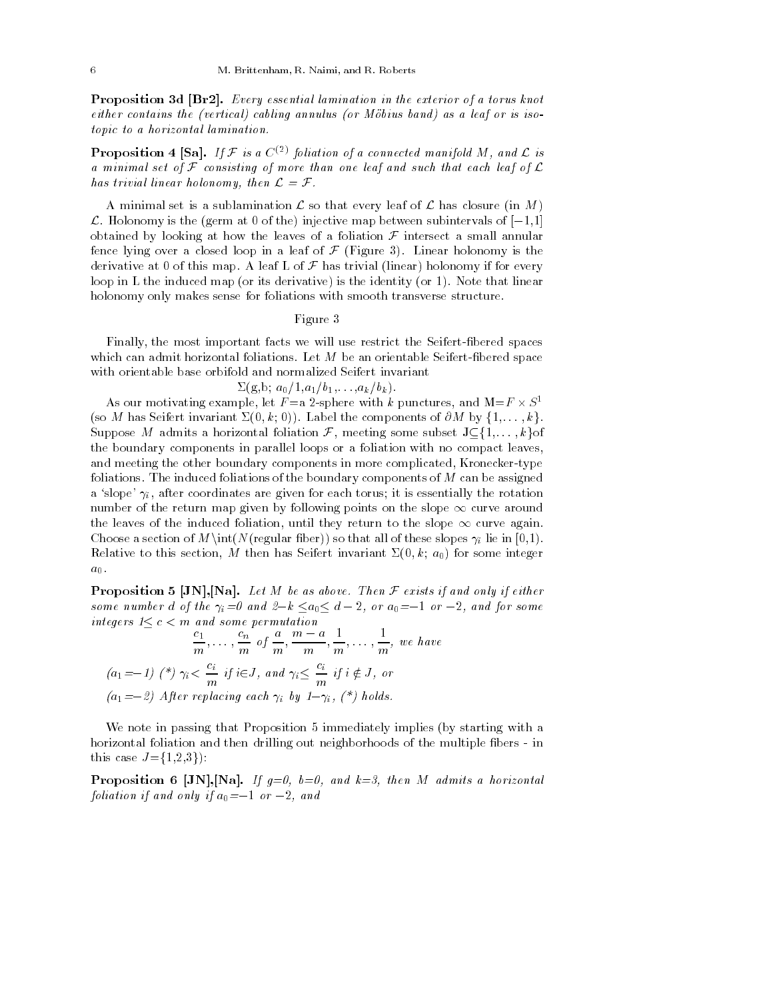Proposition 3d [Br2]. Every essential lamination in the exterior of a torus knot either contains the (vertical) cabling annulus (or Mobius band) as a leaf or is isotopic to a horizontal lamination.

**Proposition 4 [Sa].** If F is a  $C^{(2)}$  foliation of a connected manifold M, and L is a minimal set of  $\mathcal F$  consisting of more than one leaf and such that each leaf of  $\mathcal L$ has trivial linear holonomy, then  $\mathcal{L} = \mathcal{F}$ .

A minimal set is a sublamination  $\mathcal L$  so that every leaf of  $\mathcal L$  has closure (in M)  $\mathcal L$ . Holonomy is the (germ at 0 of the) injective map between subintervals of  $[-1,1]$ obtained by looking at how the leaves of a foliation  $\mathcal F$  intersect a small annular fence lying over a closed loop in a leaf of  $\mathcal F$  (Figure 3). Linear holonomy is the derivative at 0 of this map. A leaf L of  $\mathcal F$  has trivial (linear) holonomy if for every loop in L the induced map (or its derivative) is the identity (or 1). Note that linear holonomy only makes sense for foliations with smooth transverse structure.

#### Figure 3

Finally, the most important facts we will use restrict the Seifert-bered spaces which can admit horizontal foliations. Let  $M$  be an orientable Seifert-fibered space with orientable base orbifold and normalized Seifert invariant

$$
\Sigma(g,b; a_0/1, a_1/b_1,\ldots,a_k/b_k).
$$

As our motivating example, let  $F = a$  2-sphere with k punctures, and  $M = F \times S^1$ (so M has Seifert invariant  $\Sigma(0, k; 0)$ ). Label the components of  $\partial M$  by  $\{1, \ldots, k\}$ . Suppose M admits a horizontal foliation  $\mathcal{F}$ , meeting some subset  $J \subseteq \{1,\ldots,k\}$  of the boundary components in parallel loops or a foliation with no compact leaves, and meeting the other boundary components in more complicated, Kronecker-type foliations. The induced foliations of the boundary components of  $M$  can be assigned a 'slope'  $\gamma_i$ , after coordinates are given for each torus; it is essentially the rotation number of the return map given by following points on the slope  $\infty$  curve around the leaves of the induced foliation, until they return to the slope  $\infty$  curve again. Choose a section of  $M\int(N(\text{regular fiber}))$  so that all of these slopes  $\gamma_i$  lie in [0,1). Relative to this section, M then has Seifert invariant  $\Sigma(0, k; a_0)$  for some integer  $a_0$ .

**Proposition 5 [JN], [Na].** Let M be as above. Then  $\mathcal F$  exists if and only if either some number d of the  $\gamma_i=0$  and  $2-k \le a_0 \le d-2$ , or  $a_0=-1$  or  $-2$ , and for some integers  $1 \leq c < m$  and some permutation

$$
\frac{c_1}{m}, \dots, \frac{c_n}{m} \text{ of } \frac{a}{m}, \frac{m-a}{m}, \frac{1}{m}, \dots, \frac{1}{m}, \text{ we have}
$$
\n
$$
(a_1 = -1) \; (*) \; \gamma_i < \frac{c_i}{m} \; if \; i \in J, \text{ and } \gamma_i \leq \frac{c_i}{m} \; if \; i \notin J, \text{ or}
$$
\n
$$
(a_1 = -2) \; After \; replacing \; each \; \gamma_i \; by \; 1 - \gamma_i, \; (*) \; holds.
$$

We note in passing that Proposition 5 immediately implies (by starting with a horizontal foliation and then drilling out neighborhoods of the multiple fibers - in this case  $J = \{1, 2, 3\}$ :

**Proposition 6 [JN], [Na].** If  $g=0$ ,  $b=0$ , and  $k=3$ , then M admits a horizontal foliation if and only if  $a_0 = -1$  or  $-2$ , and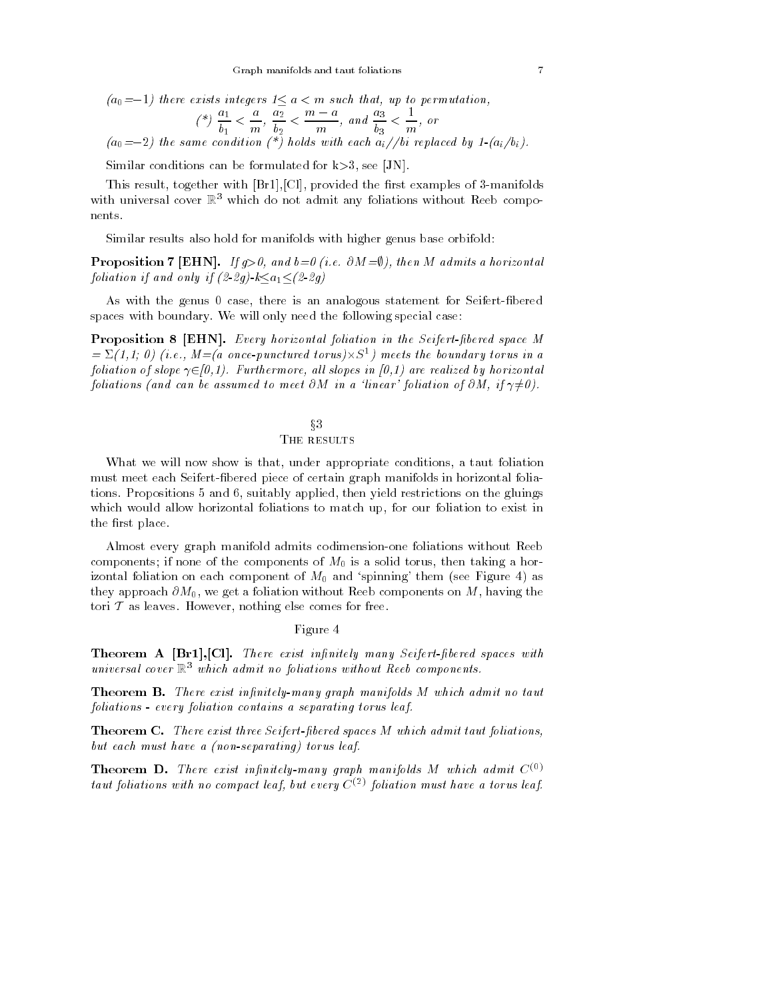$$
(a_0 = -1) \text{ there exists integers } 1 \le a < m \text{ such that, up to permutation,}
$$
\n
$$
(*) \frac{a_1}{b_1} < \frac{a}{m}, \frac{a_2}{b_2} < \frac{m-a}{m}, \text{ and } \frac{a_3}{b_3} < \frac{1}{m}, \text{ or}
$$
\n
$$
(a_0 = -2) \text{ the same condition (*) holds with each } a_i \text{ /}/bi replaced by } 1-(a_i/b_i).
$$

Similar conditions can be formulated for  $k>3$ , see [JN].

This result, together with  $[Br1],[Cl]$ , provided the first examples of 3-manifolds with universal cover  $\mathbb{R}^3$  which do not admit any foliations without Reeb components.

Similar results also hold for manifolds with higher genus base orbifold:

**Proposition 7 [EHN].** If  $q>0$ , and  $b=0$  (i.e.  $\partial M=0$ ), then M admits a horizontal foliation if and only if  $(2-2g)-k\leq a_1 \leq (2-2g)$ 

As with the genus 0 case, there is an analogous statement for Seifert-fibered spaces with boundary. We will only need the following special case:

**Proposition 8 [EHN].** Every horizontal foliation in the Seifert-fibered space M  $=\Sigma(1,1; 0)$  (i.e.,  $M=(a \text{ once-punctured torus})\times S^1$ ) meets the boundary torus in a foliation of slope  $\gamma \in [0,1)$ . Furthermore, all slopes in [0,1] are realized by horizontal foliations (and can be assumed to meet  $\partial M$  in a 'linear' foliation of  $\partial M$ , if  $\gamma \neq 0$ ).

# $\S 3$ THE RESULTS

What we will now show is that, under appropriate conditions, a taut foliation must meet each Seifert-bered piece of certain graph manifolds in horizontal foliations. Propositions 5 and 6, suitably applied, then yield restrictions on the gluings which would allow horizontal foliations to match up, for our foliation to exist in the first place.

Almost every graph manifold admits codimension-one foliations without Reeb components; if none of the components of  $M_0$  is a solid torus, then taking a horizontal foliation on each component of  $M_0$  and 'spinning' them (see Figure 4) as they approach  $\partial M_0$ , we get a foliation without Reeb components on M, having the tori  $\mathcal T$  as leaves. However, nothing else comes for free.

## Figure 4

Theorem A [Br1], [Cl]. There exist infinitely many Seifert-fibered spaces with universal cover  $\mathbb{R}^3$  which admit no foliations without Reeb components.

**Theorem B.** There exist infinitely-many graph manifolds M which admit no taut foliations - every foliation contains a separating torus leaf.

**Theorem C.** There exist three Seifert-fibered spaces M which admit taut foliations, but each must have a (non-separating) torus leaf.

**Theorem D.** There exist infinitely-many graph manifolds M which admit  $C^{(0)}$ taut foliations with no compact leaf, but every  $C^{(2)}$  foliation must have a torus leaf.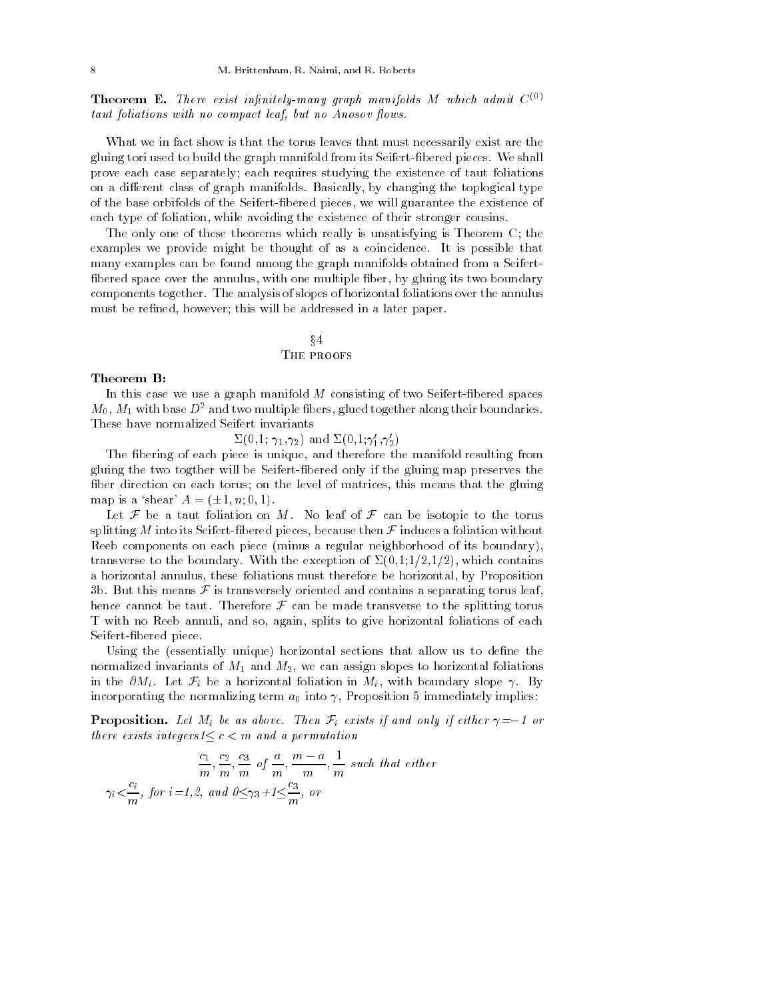**Theorem E.** There exist infinitely-many graph manifolds M which admit  $C^{(0)}$ taut foliations with no compact leaf, but no Anosov flows.

What we in fact show is that the torus leaves that must necessarily exist are the gluing tori used to build the graph manifold from its Seifert-bered pieces. We shall prove each case separately; each requires studying the existence of taut foliations on a different class of graph manifolds. Basically, by changing the toplogical type of the base orbifolds of the Seifert-bered pieces, we will guarantee the existence of each type of foliation, while avoiding the existence of their stronger cousins.

The only one of these theorems which really is unsatisfying is Theorem C; the examples we provide might be thought of as a coincidence. It is possible that many examples can be found among the graph manifolds obtained from a Seifert fibered space over the annulus, with one multiple fiber, by gluing its two boundary components together. The analysis of slopes of horizontal foliations over the annulus must be refined, however; this will be addressed in a later paper.

# $\S4$ THE PROOFS

#### Theorem B:

In this case we use a graph manifold  $M$  consisting of two Seifert-fibered spaces  $M_0$ ,  $M_1$  with base  $D^2$  and two multiple fibers, glued together along their boundaries. These have normalized Seifert invariants

 $\Sigma(0,1;\gamma_1,\gamma_2)$  and  $\Sigma(0,1;\gamma_1',\gamma_2')$ 

The fibering of each piece is unique, and therefore the manifold resulting from gluing the two togther will be Seifert-bered only if the gluing map preserves the fiber direction on each torus; on the level of matrices, this means that the gluing map is a 'shear'  $A = (\pm 1, n; 0, 1)$ .

Let  $\mathcal F$  be a taut foliation on M. No leaf of  $\mathcal F$  can be isotopic to the torus splitting  $M$  into its Seifert-fibered pieces, because then  $\mathcal F$  induces a foliation without Reeb components on each piece (minus a regular neighborhood of its boundary), transverse to the boundary. With the exception of  $\Sigma(0,1;1/2,1/2)$ , which contains a horizontal annulus, these foliations must therefore be horizontal, by Proposition 3b. But this means  $\mathcal F$  is transversely oriented and contains a separating torus leaf, hence cannot be taut. Therefore  $\mathcal F$  can be made transverse to the splitting torus T with no Reeb annuli, and so, again, splits to give horizontal foliations of each Seifert-bered piece.

Using the (essentially unique) horizontal sections that allow us to define the normalized invariants of  $M_1$  and  $M_2$ , we can assign slopes to horizontal foliations in the  $\partial M_i$ . Let  $\mathcal{F}_i$  be a horizontal foliation in  $M_i$ , with boundary slope  $\gamma$ . By incorporating the normalizing term  $a_0$  into  $\gamma$ , Proposition 5 immediately implies:

**Proposition.** Let  $M_i$  be as above. Then  $\mathcal{F}_i$  exists if and only if either  $\gamma = -1$  or there exists integers $1 \leq c < m$  and a permutation

$$
\frac{c_1}{m}, \frac{c_2}{m}, \frac{c_3}{m} \text{ of } \frac{a}{m}, \frac{m-a}{m}, \frac{1}{m} \text{ such that either}
$$
  

$$
\gamma_i < \frac{c_i}{m}, \text{ for } i = 1, 2, \text{ and } 0 \le \gamma_3 + 1 \le \frac{c_3}{m}, \text{ or}
$$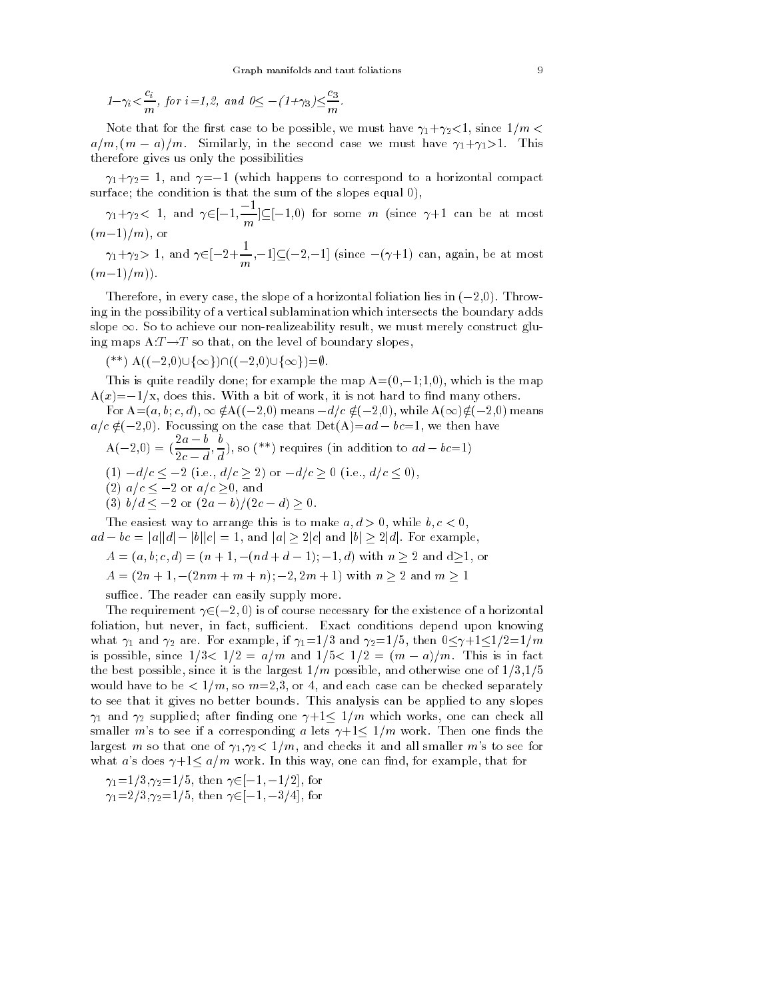Graph manifolds and taut foliations  

$$
1-\gamma_i < \frac{c_i}{m}
$$
, for  $i=1,2$ , and  $0 \le -(1+\gamma_3) \le \frac{c_3}{m}$ .

Note that for the first case to be possible, we must have  $\gamma_1 + \gamma_2 < 1$ , since  $1/m <$  $a/m$ ,  $(m - a)/m$ . Similarly, in the second case we must have  $\gamma_1 + \gamma_2 > 1$ . This therefore gives us only the possibilities

 $\gamma_1 + \gamma_2 = 1$ , and  $\gamma = -1$  (which happens to correspond to a horizontal compact surface; the condition is that the sum of the slopes equal 0),

 $\gamma_1 + \gamma_2 < 1$ , and  $\gamma \in [-1, \frac{-1}{m}] \subseteq [-1, 0)$  for some m (since  $\gamma + 1$  can be at most  $(m-1)/m$ ), or

 $\gamma_1+\gamma_2>1$ , and  $\gamma\in[-2+\frac{1}{m},-1]\subseteq[-2,-1]$  (since  $-(\gamma+1)$  can, again, be at most  $(m-1)/m)$ 

Therefore, in every case, the slope of a horizontal foliation lies in  $(-2,0)$ . Throwing in the possibility of a vertical sublamination which intersects the boundary adds slope  $\infty$ . So to achieve our non-realizeability result, we must merely construct gluing maps  $A:T\rightarrow T$  so that, on the level of boundary slopes.

(\*\*) A((-2,0) $\cup$ { $\infty$ }) $\cap$ ((-2,0) $\cup$ { $\infty$ })= $\emptyset$ .

This is quite readily done; for example the map  $A=(0,-1;1,0)$ , which is the map  $A(x) = -1/x$ , does this. With a bit of work, it is not hard to find many others.

For  $A=(a, b, c, d)$ ,  $\infty \notin A((-2,0))$  means  $-d/c \notin (-2,0)$ , while  $A(\infty) \notin (-2,0)$  means  $a/c \notin (-2,0)$ . Focussing on the case that  $Det(A)=ad - bc=1$ , we then have

$$
A(-2,0) = \left(\frac{2a-b}{2c-d}, \frac{b}{d}\right), \text{ so } (**) \text{ requires (in addition to } ad-bc=1)
$$
  
(1) 
$$
-d/c \le -2 \text{ (i.e., } d/c \ge 2 \text{) or } -d/c \ge 0 \text{ (i.e., } d/c \le 0),
$$
  
(2) 
$$
a/c \le -2 \text{ or } a/c \ge 0, \text{ and}
$$
  
(3) 
$$
b/d \le -2 \text{ or } (2a-b)/(2c-d) \ge 0.
$$

The easiest way to arrange this is to make  $a, d > 0$ , while  $b, c < 0$ ,  $ad - bc = |a||d| - |b||c| = 1$ , and  $|a| \geq 2|c|$  and  $|b| \geq 2|d|$ . For example,

 $A = (a, b, c, d) = (n + 1, -(nd + d - 1); -1, d)$  with  $n \ge 2$  and  $d \ge 1$ , or

 $A = (2n + 1, -(2nm + m + n); -2, 2m + 1)$  with  $n \ge 2$  and  $m \ge 1$ 

suffice. The reader can easily supply more.

The requirement  $\gamma \in (-2, 0)$  is of course necessary for the existence of a horizontal foliation, but never, in fact, sufficient. Exact conditions depend upon knowing what  $\gamma_1$  and  $\gamma_2$  are. For example, if  $\gamma_1=1/3$  and  $\gamma_2=1/5$ , then  $0 \leq \gamma+1 \leq 1/2=1/m$ is possible, since  $1/3 < 1/2 = a/m$  and  $1/5 < 1/2 = (m - a)/m$ . This is in fact the best possible, since it is the largest  $1/m$  possible, and otherwise one of  $1/3,1/5$ would have to be  $\lt 1/m$ , so  $m=2,3$ , or 4, and each case can be checked separately to see that it gives no better bounds. This analysis can be applied to any slopes  $\gamma_1$  and  $\gamma_2$  supplied; after finding one  $\gamma+1 \leq 1/m$  which works, one can check all smaller m's to see if a corresponding a lets  $\gamma + 1 \leq 1/m$  work. Then one finds the largest m so that one of  $\gamma_1, \gamma_2 < 1/m$ , and checks it and all smaller m's to see for what a's does  $\gamma + 1 \le a/m$  work. In this way, one can find, for example, that for

 $\gamma_1 = 1/3, \gamma_2 = 1/5$ , then  $\gamma \in [-1, -1/2]$ , for  $\gamma_1 = 2/3, \gamma_2 = 1/5$ , then  $\gamma \in [-1, -3/4]$ , for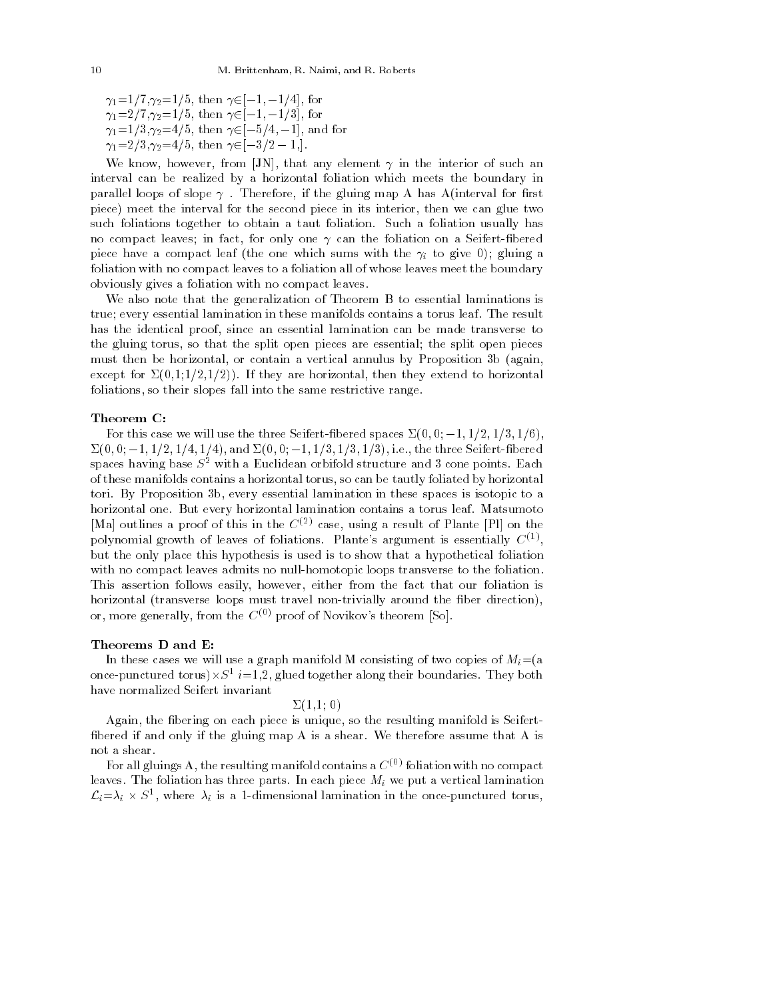$\gamma_1 = 1/7, \gamma_2 = 1/5$ , then  $\gamma \in [-1, -1/4]$ , for  $\gamma_1 = 2/7, \gamma_2 = 1/5$ , then  $\gamma \in [-1, -1/3]$ , for  $\gamma_1 = 1/3, \gamma_2 = 4/5$ , then  $\gamma \in [-5/4, -1]$ , and for  $\gamma_1 = 2/3, \gamma_2 = 4/5$ , then  $\gamma \in [-3/2 - 1]$ .

We know, however, from [JN], that any element  $\gamma$  in the interior of such an interval can be realized by a horizontal foliation which meets the boundary in parallel loops of slope  $\gamma$  . Therefore, if the gluing map A has A(interval for first piece) meet the interval for the second piece in its interior, then we can glue two such foliations together to obtain a taut foliation. Such a foliation usually has no compact leaves; in fact, for only one  $\gamma$  can the foliation on a Seifert-fibered piece have a compact leaf (the one which sums with the  $\gamma_i$  to give 0); gluing a foliation with no compact leaves to a foliation all of whose leaves meet the boundary obviously gives a foliation with no compact leaves.

We also note that the generalization of Theorem B to essential laminations is true; every essential lamination in these manifolds contains a torus leaf. The result has the identical proof, since an essential lamination can be made transverse to the gluing torus, so that the split open pieces are essential; the split open pieces must then be horizontal, or contain a vertical annulus by Proposition 3b (again, except for  $\Sigma(0,1;1/2,1/2)$ ). If they are horizontal, then they extend to horizontal foliations, so their slopes fall into the same restrictive range.

#### Theorem C:

For this case we will use the three Seifert-fibered spaces  $\Sigma(0,0; -1,1/2,1/3,1/6)$ ,  $\Sigma(0,0; -1, 1/2, 1/4, 1/4)$ , and  $\Sigma(0,0; -1, 1/3, 1/3, 1/3)$ , i.e., the three Seifert-fibered spaces having base  $S^2$  with a Euclidean orbifold structure and 3 cone points. Each of these manifolds contains a horizontal torus, so can be tautly foliated by horizontal tori. By Proposition 3b, every essential lamination in these spaces is isotopic to a horizontal one. But every horizontal lamination contains a torus leaf. Matsumoto [Ma] outlines a proof of this in the  $C^{(2)}$  case, using a result of Plante [Pl] on the polynomial growth of leaves of foliations. Plante's argument is essentially  $C^{(1)}$ , but the only place this hypothesis is used is to show that a hypothetical foliation with no compact leaves admits no null-homotopic loops transverse to the foliation. This assertion follows easily, however, either from the fact that our foliation is horizontal (transverse loops must travel non-trivially around the fiber direction), or, more generally, from the  $C^{(0)}$  proof of Novikov's theorem [So].

### Theorems D and E:

In these cases we will use a graph manifold M consisting of two copies of  $M_i = (a$ once-punctured torus) $\times S^1$  *i*=1,2, glued together along their boundaries. They both have normalized Seifert invariant

### $\Sigma(1,1; 0)$

Again, the fibering on each piece is unique, so the resulting manifold is Seifertbered if and only if the gluing map A is a shear. We therefore assume that A is not a shear.

For all gluings A, the resulting manifold contains a  $C^{(0)}$  foliation with no compact leaves. The foliation has three parts. In each piece  $M_i$  we put a vertical lamination  $\mathcal{L}_i=\lambda_i \times S^1$ , where  $\lambda_i$  is a 1-dimensional lamination in the once-punctured torus,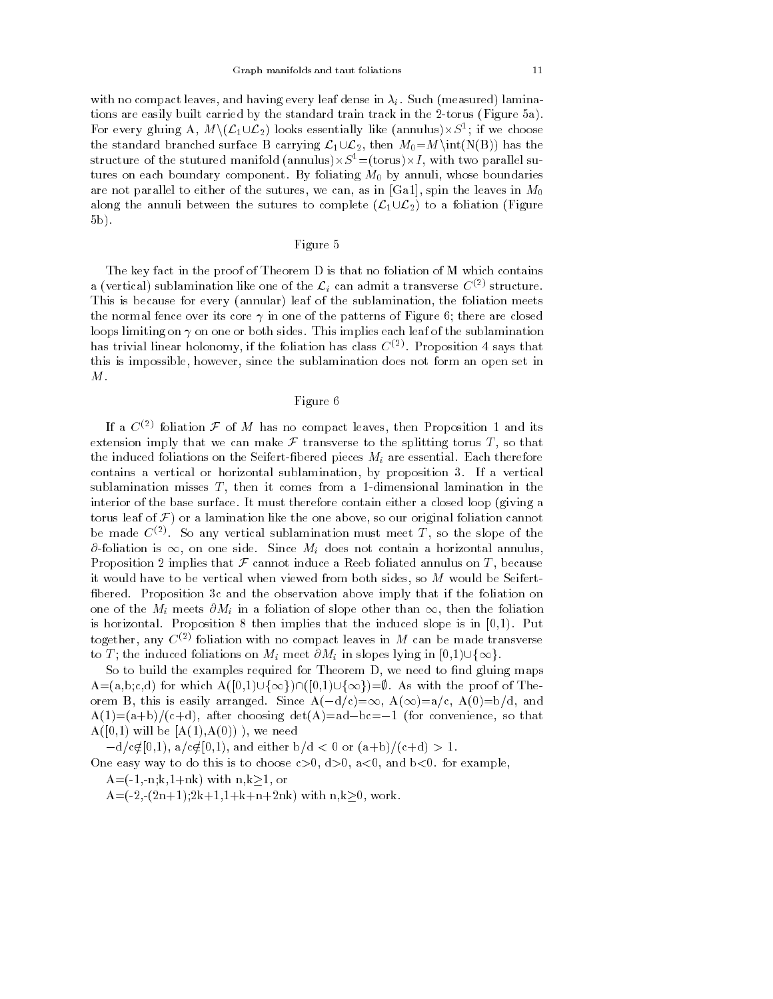with no compact leaves, and having every leaf dense in  $\lambda_i$ . Such (measured) laminations are easily built carried by the standard train track in the 2-torus (Figure 5a). For every gluing A,  $M \setminus (L_1 \cup L_2)$  looks essentially like (annulus) $\times S^1$ ; if we choose the standard branched surface B carrying  $\mathcal{L}_1\cup\mathcal{L}_2$ , then  $M_0=M\int (N(B))$  has the structure of the stutured manifold (annulus) $\times S^1$ =(torus) $\times I$ , with two parallel sutures on each boundary component. By foliating  $M_0$  by annuli, whose boundaries are not parallel to either of the sutures, we can, as in [Ga1], spin the leaves in  $M_0$ along the annuli between the sutures to complete  $(\mathcal{L}_1 \cup \mathcal{L}_2)$  to a foliation (Figure 5b).

# Figure 5

The key fact in the proof of Theorem D is that no foliation of M which contains a (vertical) sublamination like one of the  $\mathcal{L}_i$  can admit a transverse  $C^{(2)}$  structure. This is because for every (annular) leaf of the sublamination, the foliation meets the normal fence over its core  $\gamma$  in one of the patterns of Figure 6; there are closed loops limiting on  $\gamma$  on one or both sides. This implies each leaf of the sublamination has trivial linear holonomy, if the foliation has class  $C^{(2)}$ . Proposition 4 says that this is impossible, however, since the sublamination does not form an open set in  $M$  .

# Figure 6

If a  $C^{(2)}$  foliation  $\mathcal F$  of M has no compact leaves, then Proposition 1 and its extension imply that we can make  $\mathcal F$  transverse to the splitting torus  $T$ , so that the induced foliations on the Seifert-fibered pieces  $M_i$  are essential. Each therefore contains a vertical or horizontal sublamination, by proposition 3. If a vertical sublamination misses  $T$ , then it comes from a 1-dimensional lamination in the interior of the base surface. It must therefore contain either a closed loop (giving a torus leaf of  $\mathcal F$ ) or a lamination like the one above, so our original foliation cannot be made  $C^{(2)}$ . So any vertical sublamination must meet T, so the slope of the  $\partial$ -foliation is  $\infty$ , on one side. Since  $M_i$  does not contain a horizontal annulus, Proposition 2 implies that  $\mathcal F$  cannot induce a Reeb foliated annulus on  $T$ , because it would have to be vertical when viewed from both sides, so M would be Seifert bered. Proposition 3c and the observation above imply that if the foliation on one of the  $M_i$  meets  $\partial M_i$  in a foliation of slope other than  $\infty$ , then the foliation is horizontal. Proposition 8 then implies that the induced slope is in [0,1). Put together, any  $C^{(2)}$  foliation with no compact leaves in M can be made transverse to T; the induced foliations on  $M_i$  meet  $\partial M_i$  in slopes lying in  $[0,1)\cup\{\infty\}.$ 

So to build the examples required for Theorem D, we need to find gluing maps  $A=(a,b;c,d)$  for which  $A([0,1]\cup\{\infty\})\cap([0,1]\cup\{\infty\})=\emptyset$ . As with the proof of Theorem B, this is easily arranged. Since  $A(-d/c)=\infty$ ,  $A(\infty)=a/c$ ,  $A(0)=b/d$ , and  $A(1)=(a+b)/(c+d)$ , after choosing det $(A)=ad-bc=-1$  (for convenience, so that  $A([0,1)$  will be  $[A(1),A(0))]$ , we need

 $-d/c \notin [0,1)$ ,  $a/c \notin [0,1)$ , and either  $b/d < 0$  or  $(a+b)/(c+d) > 1$ .

One easy way to do this is to choose  $c>0$ ,  $d>0$ ,  $a<0$ , and  $b<0$ . for example,

 $A=(-1,-n;k,1+nk)$  with  $n,k>1$ , or

 $A=(-2,-(2n+1);2k+1,1+k+n+2nk)$  with  $n,k\geq0$ , work.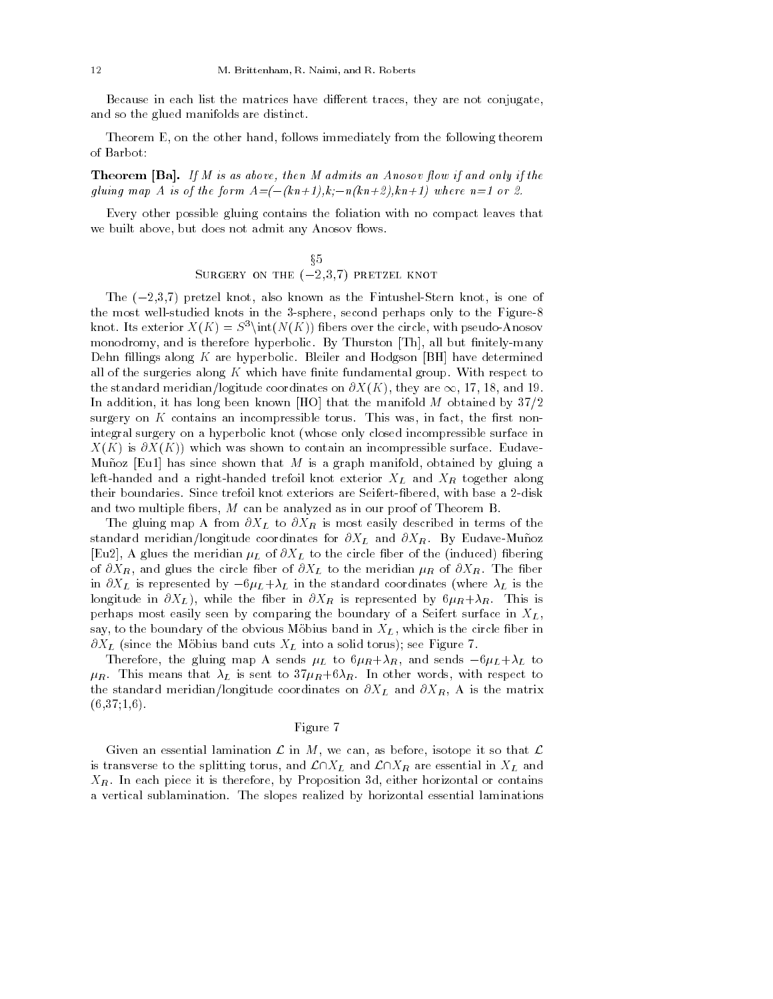Because in each list the matrices have different traces, they are not conjugate, and so the glued manifolds are distinct.

Theorem E, on the other hand, follows immediately from the following theorem of Barbot:

**Theorem [Ba].** If M is as above, then M admits an Anosov flow if and only if the gluing map A is of the form  $A = (- (kn+1), k; -n(kn+2), kn+1)$  where  $n=1$  or 2.

Every other possible gluing contains the foliation with no compact leaves that we built above, but does not admit any Anosov flows.

$$
\S 5
$$
   
\n**Surgery on the**  $(-2,3,7)$  **pretzel knot**

The  $(-2,3,7)$  pretzel knot, also known as the Fintushel-Stern knot, is one of the most well-studied knots in the 3-sphere, second perhaps only to the Figure-8 knot. Its exterior  $X(K) = S^3\int (N(K))$  fibers over the circle, with pseudo-Anosov monodromy, and is therefore hyperbolic. By Thurston [Th], all but finitely-many Dehn fillings along  $K$  are hyperbolic. Bleiler and Hodgson [BH] have determined all of the surgeries along  $K$  which have finite fundamental group. With respect to the standard meridian/logitude coordinates on  $\partial X(K)$ , they are  $\infty$ , 17, 18, and 19. In addition, it has long been known [HO] that the manifold  $M$  obtained by  $37/2$ surgery on  $K$  contains an incompressible torus. This was, in fact, the first nonintegral surgery on a hyperbolic knot (whose only closed incompressible surface in  $X(K)$  is  $\partial X(K)$ ) which was shown to contain an incompressible surface. Eudave-Muñoz [Eu1] has since shown that M is a graph manifold, obtained by gluing a left-handed and a right-handed trefoil knot exterior  $X_L$  and  $X_R$  together along their boundaries. Since trefoil knot exteriors are Seifert-bered, with base a 2-disk and two multiple fibers, M can be analyzed as in our proof of Theorem B.

The gluing map A from  $\partial X_L$  to  $\partial X_R$  is most easily described in terms of the standard meridian/longitude coordinates for  $\partial X_L$  and  $\partial X_R$ . By Eudave-Muñoz [Eu2], A glues the meridian  $\mu_L$  of  $\partial X_L$  to the circle fiber of the (induced) fibering of  $\partial X_R$ , and glues the circle fiber of  $\partial X_L$  to the meridian  $\mu_R$  of  $\partial X_R$ . The fiber in  $\partial X_L$  is represented by  $-6\mu_L+\lambda_L$  in the standard coordinates (where  $\lambda_L$  is the longitude in  $\partial X_L$ ), while the fiber in  $\partial X_R$  is represented by  $6\mu_R + \lambda_R$ . This is perhaps most easily seen by comparing the boundary of a Seifert surface in  $X_L$ , say, to the boundary of the obvious Möbius band in  $X_L$ , which is the circle fiber in  $\partial X_L$  (since the Möbius band cuts  $X_L$  into a solid torus); see Figure 7.

Therefore, the gluing map A sends  $\mu_L$  to  $6\mu_R+\lambda_R$ , and sends  $-6\mu_L+\lambda_L$  to  $\mu_R$ . This means that  $\lambda_L$  is sent to  $37\mu_R+6\lambda_R$ . In other words, with respect to the standard meridian/longitude coordinates on  $\partial X_L$  and  $\partial X_R$ , A is the matrix  $(6,37;1,6)$ .

### Figure 7

Given an essential lamination  $\mathcal L$  in  $M$ , we can, as before, isotope it so that  $\mathcal L$ is transverse to the splitting torus, and  $\mathcal{L}\cap X_L$  and  $\mathcal{L}\cap X_R$  are essential in  $X_L$  and  $X_R$ . In each piece it is therefore, by Proposition 3d, either horizontal or contains a vertical sublamination. The slopes realized by horizontal essential laminations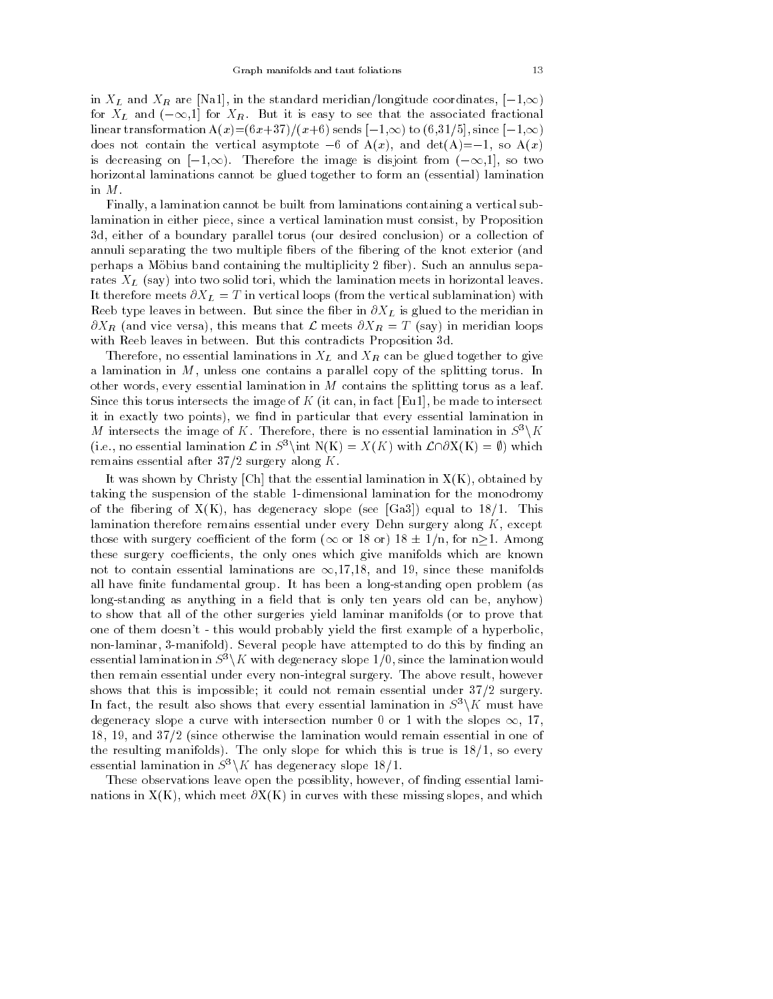in  $X_L$  and  $X_R$  are [Na1], in the standard meridian/longitude coordinates,  $[-1,\infty)$ for  $X_L$  and  $(-\infty,1]$  for  $X_R$ . But it is easy to see that the associated fractional linear transformation  $A(x)=(6x+37)/(x+6)$  sends  $[-1,\infty)$  to  $(6,31/5]$ , since  $[-1,\infty)$ does not contain the vertical asymptote  $-6$  of  $A(x)$ , and  $det(A)=-1$ , so  $A(x)$ is decreasing on  $[-1,\infty)$ . Therefore the image is disjoint from  $(-\infty,1]$ , so two horizontal laminations cannot be glued together to form an (essential) lamination in M.

Finally, a lamination cannot be built from laminations containing a vertical sublamination in either piece, since a vertical lamination must consist, by Proposition 3d, either of a boundary parallel torus (our desired conclusion) or a collection of annuli separating the two multiple bers of the bering of the knot exterior (and perhaps a Möbius band containing the multiplicity 2 fiber). Such an annulus separates  $X_L$  (say) into two solid tori, which the lamination meets in horizontal leaves. It therefore meets  $\partial X_L = T$  in vertical loops (from the vertical sublamination) with Reeb type leaves in between. But since the fiber in  $\partial X_L$  is glued to the meridian in  $\partial X_R$  (and vice versa), this means that L meets  $\partial X_R = T$  (say) in meridian loops with Reeb leaves in between. But this contradicts Proposition 3d.

Therefore, no essential laminations in  $X_L$  and  $X_R$  can be glued together to give a lamination in  $M$ , unless one contains a parallel copy of the splitting torus. In other words, every essential lamination in  $M$  contains the splitting torus as a leaf. Since this torus intersects the image of  $K$  (it can, in fact [Eu1], be made to intersect it in exactly two points), we find in particular that every essential lamination in M intersects the image of K. Therefore, there is no essential lamination in  $S^3\backslash K$ (i.e., no essential lamination  $\mathcal L$  in  $S^3$ ) int  $N(K) = X(K)$  with  $\mathcal L\cap \partial X(K) = \emptyset$ ) which remains essential after  $37/2$  surgery along K.

It was shown by Christy [Ch] that the essential lamination in  $X(K)$ , obtained by taking the suspension of the stable 1-dimensional lamination for the monodromy of the fibering of  $X(K)$ , has degeneracy slope (see [Ga3]) equal to  $18/1$ . This lamination therefore remains essential under every Dehn surgery along  $K$ , except those with surgery coefficient of the form ( $\infty$  or 18 or) 18  $\pm$  1/n, for n $\geq$ 1. Among these surgery coefficients, the only ones which give manifolds which are known not to contain essential laminations are  $\infty$ ,17,18, and 19, since these manifolds all have finite fundamental group. It has been a long-standing open problem (as  $\log$ -standing as anything in a field that is only ten years old can be, anyhow) to show that all of the other surgeries yield laminar manifolds (or to prove that one of them doesn't - this would probably yield the first example of a hyperbolic, non-laminar, 3-manifold). Several people have attempted to do this by finding an essential lamination in  $S^3\backslash K$  with degeneracy slope 1/0, since the lamination would then remain essential under every non-integral surgery. The above result, however shows that this is impossible; it could not remain essential under 37/2 surgery. In fact, the result also shows that every essential lamination in  $S^3\backslash K$  must have degeneracy slope a curve with intersection number 0 or 1 with the slopes  $\infty$ , 17, 18, 19, and 37/2 (since otherwise the lamination would remain essential in one of the resulting manifolds). The only slope for which this is true is  $18/1$ , so every essential lamination in  $S^3\backslash K$  has degeneracy slope 18/1.

These observations leave open the possiblity, however, of finding essential laminations in  $X(K)$ , which meet  $\partial X(K)$  in curves with these missing slopes, and which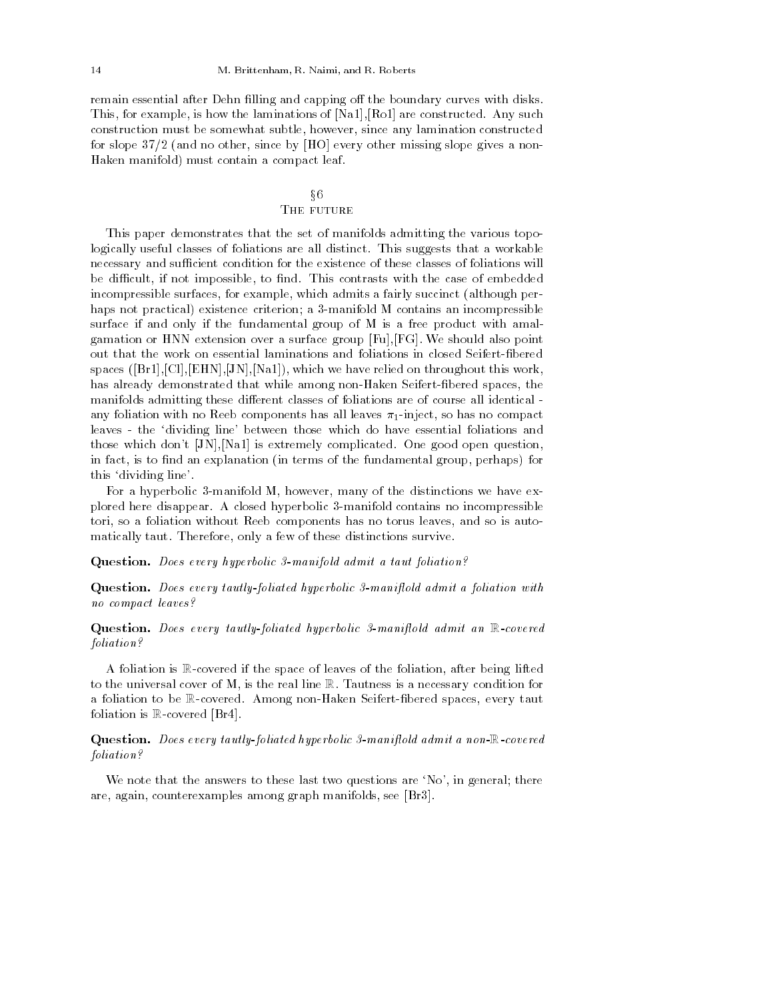remain essential after Dehn filling and capping off the boundary curves with disks. This, for example, is how the laminations of [Na1],[Ro1] are constructed. Any such construction must be somewhat subtle, however, since any lamination constructed for slope 37/2 (and no other, since by [HO] every other missing slope gives a non- Haken manifold) must contain a compact leaf.

# x6THE FUTURE

This paper demonstrates that the set of manifolds admitting the various topologically useful classes of foliations are all distinct. This suggests that a workable necessary and sufficient condition for the existence of these classes of foliations will be difficult, if not impossible, to find. This contrasts with the case of embedded incompressible surfaces, for example, which admits a fairly succinct (although perhaps not practical) existence criterion; a 3-manifold M contains an incompressible surface if and only if the fundamental group of M is a free product with amalgamation or HNN extension over a surface group [Fu],[FG]. We should also point out that the work on essential laminations and foliations in closed Seifert-fibered spaces  $([Br1],[Cl],[EHN],[JN],[Na1]),$  which we have relied on throughout this work, has already demonstrated that while among non-Haken Seifert-fibered spaces, the manifolds admitting these different classes of foliations are of course all identical any foliation with no Reeb components has all leaves  $\pi_1$ -inject, so has no compact leaves - the `dividing line' between those which do have essential foliations and those which don't [JN],[Na1] is extremely complicated. One good open question, in fact, is to find an explanation (in terms of the fundamental group, perhaps) for this `dividing line'.

For a hyperbolic 3-manifold M, however, many of the distinctions we have explored here disappear. A closed hyperbolic 3-manifold contains no incompressible tori, so a foliation without Reeb components has no torus leaves, and so is automatically taut. Therefore, only a few of these distinctions survive.

Question. Does every hyperbolic 3-manifold admit a taut foliation?

Question. Does every tautly-foliated hyperbolic 3-manifield admit a foliation with no compact leaves?

Question. Does every tautly-foliated hyperbolic 3-manifield admit an R-covered foliation?

A foliation is R-covered if the space of leaves of the foliation, after being lifted to the universal cover of M, is the real line R. Tautness is a necessary condition for a foliation to be R-covered. Among non-Haken Seifert-bered spaces, every taut foliation is R-covered [Br4].

# Question. Does every tautly-foliated hyperbolic 3-manifield admit a non-R-covered foliation?

We note that the answers to these last two questions are 'No', in general; there are, again, counterexamples among graph manifolds, see [Br3].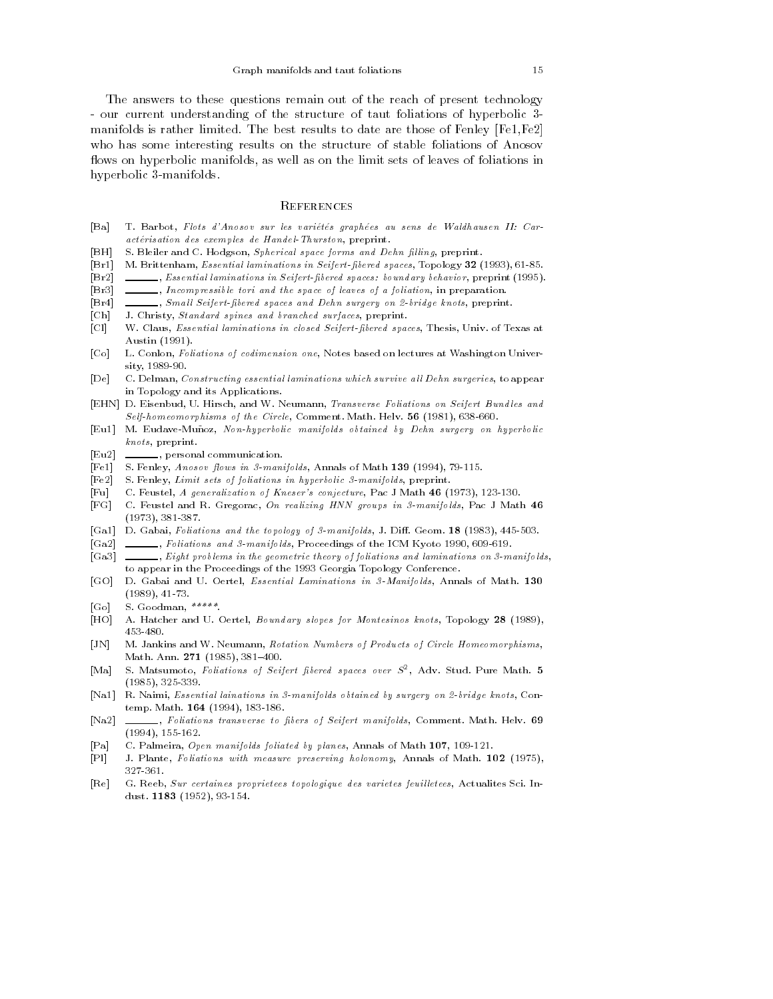The answers to these questions remain out of the reach of present technology - our current understanding of the structure of taut foliations of hyperbolic 3 manifolds is rather limited. The best results to date are those of Fenley [Fe1,Fe2] who has some interesting results on the structure of stable foliations of Anosov flows on hyperbolic manifolds, as well as on the limit sets of leaves of foliations in hyperbolic 3-manifolds.

## **REFERENCES**

- [Ba] T. Barbot, Flots d'Anosov sur les varietes graphees au sens de Waldhausen II: Caractérisation des exemples de Handel-Thurston, preprint.
- [BH] S. Bleiler and C. Hodgson, Spherical space forms and Dehn filling, preprint.
- [Br1] M. Brittenham, Essential laminations in Seifert-bered spaces, Topology <sup>32</sup> (1993), 61-85.
- [Br2] , Essential laminations in Seifert-bered spaces: boundary behavior, preprint (1995).
- [Br3]  $\_\_\_\_\_\_\_\$  Incompressible tori and the space of leaves of a foliation, in preparation.
- [Br4] , Small Seifert-fibered spaces and Dehn surgery on 2-bridge knots, preprint.
- [Ch] J. Christy, Standard spines and branched surfaces, preprint.
- [Cl] W. Claus, *Essential laminations in closed Seifert-fibered spaces*, Thesis, Univ. of Texas at Austin (1991).
- [Co] L. Conlon, Foliations of codimension one, Notes based on lectures at Washington University, 1989-90.
- [De] C. Delman, Constructing essential laminations which survive all Dehn surgeries, to appear in Topology and its Applications.
- [EHN] D. Eisenbud, U. Hirsch, and W. Neumann, Transverse Foliations on Seifert Bundles and Self-homeomorphisms of the Circle, Comment. Math. Helv. <sup>56</sup> (1981), 638-660.
- [Eu1] M. Eudave-Muñoz, Non-hyperbolic manifolds obtained by Dehn surgery on hyperbolic knots, preprint.
- [Eu2]  $\qquad \qquad$ , personal communication.
- [Fe1] S. Fenley, Anosov flows in 3-manifolds, Annals of Math 139 (1994), 79-115.
- [Fe2] S. Fenley, Limit sets of foliations in hyperbolic 3-manifolds, preprint.
- [Fu] C. Feustel, A generalization of Kneser's conjecture, Pac J Math <sup>46</sup> (1973), 123-130.
- [FG] C. Feustel and R. Gregorac, On realizing HNN groups in 3-manifolds, Pac J Math <sup>46</sup> (1973), 381-387.
- [Ga1] D. Gabai, Foliations and the topology of  $\beta$ -manifolds, J. Diff. Geom. 18 (1983), 445-503.
- [Ga2] , Foliations and 3-manifolds, Proceedings of the ICM Kyoto 1990, 609-619.
- [Ga3]  $Eight problems in the geometric theory of foliations and laminations on 3-manifolds,$  $\overline{a}$ to appear in the Proceedings of the 1993 Georgia Topology Conference.
- [GO] D. Gabai and U. Oertel, Essential Laminations in 3-Manifolds, Annals of Math. <sup>130</sup> (1989), 41-73.
- [Good] S. Goodman, S. Goodman, S. Goodman, S. Goodman, S. Goodman, S. Goodman, S. Goodman, S. Goodman, S. Good
- [HO] A. Hatcher and U. Oertel, Boundary slopes for Montesinos knots, Topology <sup>28</sup> (1989), 453-480.
- [JN] M. Jankins and W. Neumann, Rotation Numbers of Products of Circle Homeomorphisms, Math. Ann. 271 (1985), 381-400.
- [Ma] S. Matsumoto, Foliations of Seifert bered spaces over <sup>S</sup><sup>2</sup> , Adv. Stud. Pure Math. <sup>5</sup> (1985), 325-339.
- [Na1] R. Naimi, Essential lainations in 3-manifolds obtained by surgery on 2-bridge knots, Contemp. Math. <sup>164</sup> (1994), 183-186.
- [Na2] \_\_\_\_\_, Foliations transverse to fibers of Seifert manifolds, Comment. Math. Helv. 69 (1994), 155-162.
- [Pa] C. Palmeira, Open manifolds foliated by planes, Annals of Math 107, 109-121.
- [Pl] J. Plante, Foliations with measure preserving holonomy, Annals of Math. <sup>102</sup> (1975), 327-361.
- [Re] G. Reeb, Sur certaines proprietees topologique des varietes feuil letees, Actualites Sci. Indust. <sup>1183</sup> (1952), 93-154.